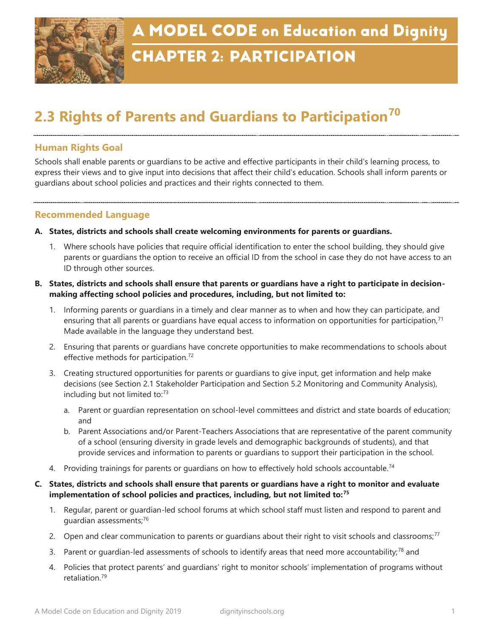

## **CHAPTER 2: PARTICIPATION**

# **2.3 Rights of Parents and Guardians to Participation<sup>70</sup>**

### **Human Rights Goal**

Schools shall enable parents or guardians to be active and effective participants in their child's learning process, to express their views and to give input into decisions that affect their child's education. Schools shall inform parents or guardians about school policies and practices and their rights connected to them.

#### **Recommended Language**

- **A. States, districts and schools shall create welcoming environments for parents or guardians.** 
	- 1. Where schools have policies that require official identification to enter the school building, they should give parents or guardians the option to receive an official ID from the school in case they do not have access to an ID through other sources.
- **B. States, districts and schools shall ensure that parents or guardians have a right to participate in decisionmaking affecting school policies and procedures, including, but not limited to:** 
	- 1. Informing parents or guardians in a timely and clear manner as to when and how they can participate, and ensuring that all parents or quardians have equal access to information on opportunities for participation,<sup>71</sup> Made available in the language they understand best.
	- 2. Ensuring that parents or guardians have concrete opportunities to make recommendations to schools about effective methods for participation.<sup>72</sup>
	- 3. Creating structured opportunities for parents or guardians to give input, get information and help make decisions (see Section 2.1 Stakeholder Participation and Section 5.2 Monitoring and Community Analysis), including but not limited to:<sup>73</sup>
		- a. Parent or guardian representation on school-level committees and district and state boards of education; and
		- b. Parent Associations and/or Parent-Teachers Associations that are representative of the parent community of a school (ensuring diversity in grade levels and demographic backgrounds of students), and that provide services and information to parents or guardians to support their participation in the school.
	- 4. Providing trainings for parents or guardians on how to effectively hold schools accountable.<sup>74</sup>
- **C. States, districts and schools shall ensure that parents or guardians have a right to monitor and evaluate implementation of school policies and practices, including, but not limited to:<sup>75</sup>**
	- 1. Regular, parent or guardian-led school forums at which school staff must listen and respond to parent and guardian assessments;<sup>76</sup>
	- 2. Open and clear communication to parents or quardians about their right to visit schools and classrooms;<sup>77</sup>
	- 3. Parent or guardian-led assessments of schools to identify areas that need more accountability;<sup>78</sup> and
	- 4. Policies that protect parents' and guardians' right to monitor schools' implementation of programs without retaliation.79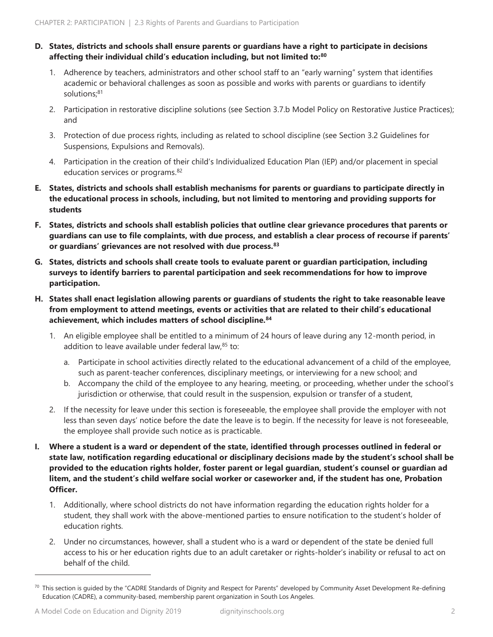#### **D. States, districts and schools shall ensure parents or guardians have a right to participate in decisions affecting their individual child's education including, but not limited to:<sup>80</sup>**

- 1. Adherence by teachers, administrators and other school staff to an "early warning" system that identifies academic or behavioral challenges as soon as possible and works with parents or guardians to identify solutions;<sup>81</sup>
- 2. Participation in restorative discipline solutions (see Section 3.7.b Model Policy on Restorative Justice Practices); and
- 3. Protection of due process rights, including as related to school discipline (see Section 3.2 Guidelines for Suspensions, Expulsions and Removals).
- 4. Participation in the creation of their child's Individualized Education Plan (IEP) and/or placement in special education services or programs.<sup>82</sup>
- **E. States, districts and schools shall establish mechanisms for parents or guardians to participate directly in the educational process in schools, including, but not limited to mentoring and providing supports for students**
- **F. States, districts and schools shall establish policies that outline clear grievance procedures that parents or guardians can use to file complaints, with due process, and establish a clear process of recourse if parents' or guardians' grievances are not resolved with due process.<sup>83</sup>**
- **G. States, districts and schools shall create tools to evaluate parent or guardian participation, including surveys to identify barriers to parental participation and seek recommendations for how to improve participation.**
- **H. States shall enact legislation allowing parents or guardians of students the right to take reasonable leave from employment to attend meetings, events or activities that are related to their child's educational achievement, which includes matters of school discipline.<sup>84</sup>**
	- 1. An eligible employee shall be entitled to a minimum of 24 hours of leave during any 12-month period, in addition to leave available under federal law, $85$  to:
		- a. Participate in school activities directly related to the educational advancement of a child of the employee, such as parent-teacher conferences, disciplinary meetings, or interviewing for a new school; and
		- b. Accompany the child of the employee to any hearing, meeting, or proceeding, whether under the school's jurisdiction or otherwise, that could result in the suspension, expulsion or transfer of a student,
	- 2. If the necessity for leave under this section is foreseeable, the employee shall provide the employer with not less than seven days' notice before the date the leave is to begin. If the necessity for leave is not foreseeable, the employee shall provide such notice as is practicable.
- **I. Where a student is a ward or dependent of the state, identified through processes outlined in federal or state law, notification regarding educational or disciplinary decisions made by the student's school shall be provided to the education rights holder, foster parent or legal guardian, student's counsel or guardian ad litem, and the student's child welfare social worker or caseworker and, if the student has one, Probation Officer.** 
	- 1. Additionally, where school districts do not have information regarding the education rights holder for a student, they shall work with the above-mentioned parties to ensure notification to the student's holder of education rights.
	- 2. Under no circumstances, however, shall a student who is a ward or dependent of the state be denied full access to his or her education rights due to an adult caretaker or rights-holder's inability or refusal to act on behalf of the child.

 $^{70}$  This section is guided by the "CADRE Standards of Dignity and Respect for Parents" developed by Community Asset Development Re-defining Education (CADRE), a community-based, membership parent organization in South Los Angeles.